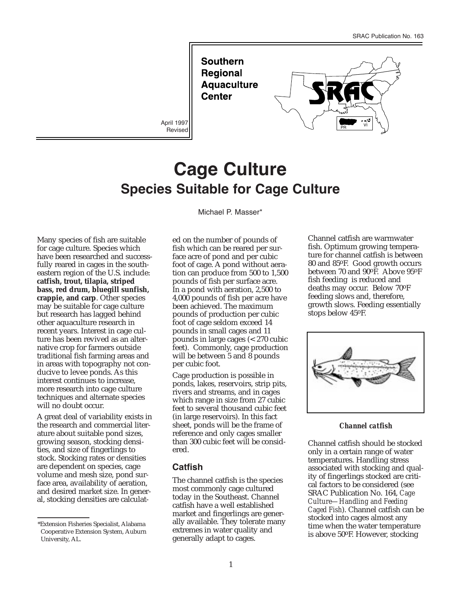**Southern Regional Aquaculture Center** 

April 1997 Revised



# **Cage Culture Species Suitable for Cage Culture**

Michael P. Masser\*

Many species of fish are suitable for cage culture. Species which have been researched and successfully reared in cages in the southeastern region of the U.S. include: **catfish, trout, tilapia, striped bass, red drum, bluegill sunfish, crappie, and carp**. Other species may be suitable for cage culture but research has lagged behind other aquaculture research in recent years. Interest in cage culture has been revived as an alternative crop for farmers outside traditional fish farming areas and in areas with topography not conducive to levee ponds. As this interest continues to increase, more research into cage culture techniques and alternate species will no doubt occur.

A great deal of variability exists in the research and commercial literature about suitable pond sizes, growing season, stocking densities, and size of fingerlings to stock. Stocking rates or densities are dependent on species, cage volume and mesh size, pond surface area, availability of aeration, and desired market size. In general, stocking densities are calculated on the number of pounds of fish which can be reared per surface acre of pond and per cubic foot of cage. A pond without aeration can produce from 500 to 1,500 pounds of fish per surface acre. In a pond with aeration, 2,500 to 4,000 pounds of fish per acre have been achieved. The maximum pounds of production per cubic foot of cage seldom exceed 14 pounds in small cages and 11 pounds in large cages (< 270 cubic feet). Commonly, cage production will be between 5 and 8 pounds per cubic foot.

Cage production is possible in ponds, lakes, reservoirs, strip pits, rivers and streams, and in cages which range in size from 27 cubic feet to several thousand cubic feet (in large reservoirs). In this fact sheet, ponds will be the frame of reference and only cages smaller than 300 cubic feet will be considered.

# **Catfish**

The channel catfish is the species most commonly cage cultured today in the Southeast. Channel catfish have a well established market and fingerlings are generally available. They tolerate many extremes in water quality and generally adapt to cages.

Channel catfish are warmwater fish. Optimum growing temperature for channel catfish is between 80 and 85oF. Good growth occurs between 70 and 90°F. Above 95°F fish feeding is reduced and deaths may occur. Below 70oF feeding slows and, therefore, growth slows. Feeding essentially stops below 45oF.



*Channel catfish*

Channel catfish should be stocked only in a certain range of water temperatures. Handling stress associated with stocking and quality of fingerlings stocked are critical factors to be considered (see SRAC Publication No. 164, *Cage Culture—Handling and Feeding Caged Fish*). Channel catfish can be stocked into cages almost any time when the water temperature is above 50oF. However, stocking

<sup>\*</sup>Extension Fisheries Specialist, Alabama Cooperative Extension System, Auburn University, AL.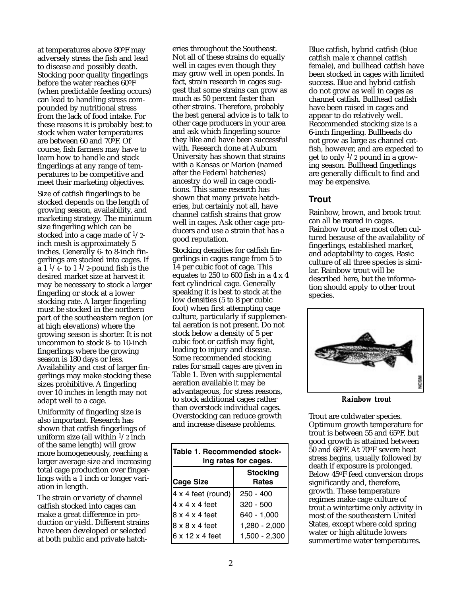at temperatures above 80oF may adversely stress the fish and lead to disease and possibly death. Stocking poor quality fingerlings before the water reaches 60oF (when predictable feeding occurs) can lead to handling stress compounded by nutritional stress from the lack of food intake. For these reasons it is probably best to stock when water temperatures are between 60 and 70oF. Of course, fish farmers may have to learn how to handle and stock fingerlings at any range of temperatures to be competitive and meet their marketing objectives.

Size of catfish fingerlings to be stocked depends on the length of growing season, availability, and marketing strategy. The minimum size fingerling which can be stocked into a cage made of  $1/2$ inch mesh is approximately 5 inches. Generally 6- to 8-inch fingerlings are stocked into cages. If  $\overline{a}$  1  $\frac{1}{4}$ - to 1  $\frac{1}{2}$ -pound fish is the desired market size at harvest it may be necessary to stock a larger fingerling or stock at a lower stocking rate. A larger fingerling must be stocked in the northern part of the southeastern region (or at high elevations) where the growing season is shorter. It is not uncommon to stock 8- to 10-inch fingerlings where the growing season is 180 days or less. Availability and cost of larger fingerlings may make stocking these sizes prohibitive. A fingerling over 10 inches in length may not adapt well to a cage.

Uniformity of fingerling size is also important. Research has shown that catfish fingerlings of uniform size (all within  $\frac{1}{2}$  inch of the same length) will grow more homogeneously, reaching a larger average size and increasing total cage production over fingerlings with a 1 inch or longer variation in length.

The strain or variety of channel catfish stocked into cages can make a great difference in production or yield. Different strains have been developed or selected at both public and private hatcheries throughout the Southeast. Not all of these strains do equally well in cages even though they may grow well in open ponds. In fact, strain research in cages suggest that some strains can grow as much as 50 percent faster than other strains. Therefore, probably the best general advice is to talk to other cage producers in your area and ask which fingerling source they like and have been successful with. Research done at Auburn University has shown that strains with a Kansas or Marion (named after the Federal hatcheries) ancestry do well in cage conditions. This same research has shown that many private hatcheries, but certainly not all, have channel catfish strains that grow well in cages. Ask other cage producers and use a strain that has a good reputation.

Stocking densities for catfish fingerlings in cages range from 5 to 14 per cubic foot of cage. This equates to 250 to 600 fish in a 4 x 4 feet cylindrical cage. Generally speaking it is best to stock at the low densities (5 to 8 per cubic foot) when first attempting cage culture, particularly if supplemental aeration is not present. Do not stock below a density of 5 per cubic foot or catfish may fight, leading to injury and disease. Some recommended stocking rates for small cages are given in Table 1. Even with supplemental aeration available it may be advantageous, for stress reasons, to stock additional cages rather than overstock individual cages. Overstocking can reduce growth and increase disease problems.

| Table 1. Recommended stock-<br>ing rates for cages. |                                 |
|-----------------------------------------------------|---------------------------------|
| <b>Cage Size</b>                                    | <b>Stocking</b><br><b>Rates</b> |
| $4x 4$ feet (round)                                 | 250 - 400                       |
| 4 x 4 x 4 feet                                      | $320 - 500$                     |
| 18 x 4 x 4 feet                                     | 640 - 1,000                     |
| l8 x 8 x 4 feet                                     | 1,280 - 2,000                   |
| 6 x 12 x 4 feet                                     | 1,500 - 2,300                   |

Blue catfish, hybrid catfish (blue catfish male x channel catfish female), and bullhead catfish have been stocked in cages with limited success. Blue and hybrid catfish do not grow as well in cages as channel catfish. Bullhead catfish have been raised in cages and appear to do relatively well. Recommended stocking size is a 6-inch fingerling. Bullheads do not grow as large as channel catfish, however, and are expected to get to only  $\frac{1}{2}$  pound in a growing season. Bullhead fingerlings are generally difficult to find and may be expensive.

## **Trout**

Rainbow, brown, and brook trout can all be reared in cages. Rainbow trout are most often cultured because of the availability of fingerlings, established market, and adaptability to cages. Basic culture of all three species is similar. Rainbow trout will be described here, but the information should apply to other trout species.



*Rainbow trout*

Trout are coldwater species. Optimum growth temperature for trout is between 55 and 65oF, but good growth is attained between 50 and 68oF. At 70oF severe heat stress begins, usually followed by death if exposure is prolonged. Below 45oF feed conversion drops significantly and, therefore, growth. These temperature regimes make cage culture of trout a wintertime only activity in most of the southeastern United States, except where cold spring water or high altitude lowers summertime water temperatures.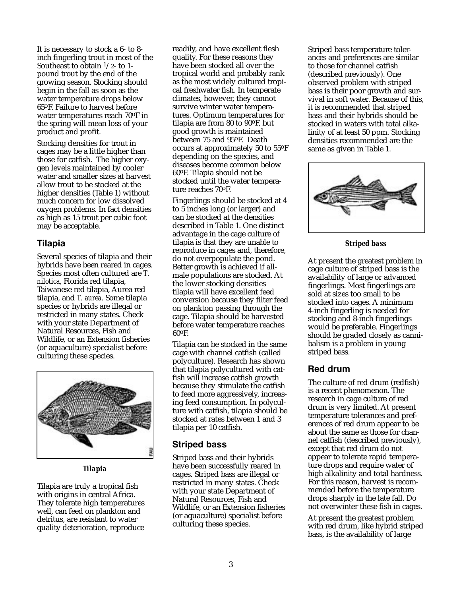It is necessary to stock a 6- to 8 inch fingerling trout in most of the Southeast to obtain  $1/2$ - to 1pound trout by the end of the growing season. Stocking should begin in the fall as soon as the water temperature drops below 65oF. Failure to harvest before water temperatures reach 70oF in the spring will mean loss of your product and profit.

Stocking densities for trout in cages may be a little higher than those for catfish. The higher oxygen levels maintained by cooler water and smaller sizes at harvest allow trout to be stocked at the higher densities (Table 1) without much concern for low dissolved oxygen problems. In fact densities as high as 15 trout per cubic foot may be acceptable.

## **Tilapia**

Several species of tilapia and their hybrids have been reared in cages. Species most often cultured are *T. nilotica*, Florida red tilapia, Taiwanese red tilapia, Aurea red tilapia, and *T. aurea*. Some tilapia species or hybrids are illegal or restricted in many states. Check with your state Department of Natural Resources, Fish and Wildlife, or an Extension fisheries (or aquaculture) specialist before culturing these species.



*Tilapia*

Tilapia are truly a tropical fish with origins in central Africa. They tolerate high temperatures well, can feed on plankton and detritus, are resistant to water quality deterioration, reproduce

readily, and have excellent flesh quality. For these reasons they have been stocked all over the tropical world and probably rank as the most widely cultured tropical freshwater fish. In temperate climates, however, they cannot survive winter water temperatures. Optimum temperatures for tilapia are from 80 to 90oF, but good growth is maintained between 75 and 95oF. Death occurs at approximately 50 to 55oF depending on the species, and diseases become common below 60oF. Tilapia should not be stocked until the water temperature reaches 70oF.

Fingerlings should be stocked at 4 to 5 inches long (or larger) and can be stocked at the densities described in Table 1. One distinct advantage in the cage culture of tilapia is that they are unable to reproduce in cages and, therefore, do not overpopulate the pond. Better growth is achieved if allmale populations are stocked. At the lower stocking densities tilapia will have excellent feed conversion because they filter feed on plankton passing through the cage. Tilapia should be harvested before water temperature reaches 60oF.

Tilapia can be stocked in the same cage with channel catfish (called polyculture). Research has shown that tilapia polycultured with catfish will increase catfish growth because they stimulate the catfish to feed more aggressively, increasing feed consumption. In polyculture with catfish, tilapia should be stocked at rates between 1 and 3 tilapia per 10 catfish.

#### **Striped bass**

Striped bass and their hybrids have been successfully reared in cages. Striped bass are illegal or restricted in many states. Check with your state Department of Natural Resources, Fish and Wildlife, or an Extension fisheries (or aquaculture) specialist before culturing these species.

Striped bass temperature tolerances and preferences are similar to those for channel catfish (described previously). One observed problem with striped bass is their poor growth and survival in soft water. Because of this, it is recommended that striped bass and their hybrids should be stocked in waters with total alkalinity of at least 50 ppm. Stocking densities recommended are the same as given in Table 1.



*Striped bass*

At present the greatest problem in cage culture of striped bass is the availability of large or advanced fingerlings. Most fingerlings are sold at sizes too small to be stocked into cages. A minimum 4-inch fingerling is needed for stocking and 8-inch fingerlings would be preferable. Fingerlings should be graded closely as cannibalism is a problem in young striped bass.

# **Red drum**

The culture of red drum (redfish) is a recent phenomenon. The research in cage culture of red drum is very limited. At present temperature tolerances and preferences of red drum appear to be about the same as those for channel catfish (described previously), except that red drum do not appear to tolerate rapid temperature drops and require water of high alkalinity and total hardness. For this reason, harvest is recommended before the temperature drops sharply in the late fall. Do not overwinter these fish in cages.

At present the greatest problem with red drum, like hybrid striped bass, is the availability of large